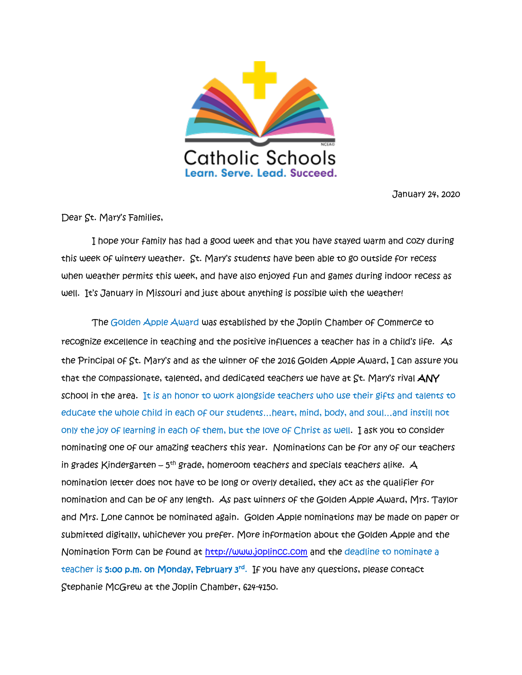

January 24, 2020

Dear St. Mary's Families,

 I hope your family has had a good week and that you have stayed warm and cozy during this week of wintery weather. St. Mary's students have been able to go outside for recess when weather permits this week, and have also enjoyed fun and games during indoor recess as well. It's January in Missouri and just about anything is possible with the weather!

 The Golden Apple Award was established by the Joplin Chamber of Commerce to recognize excellence in teaching and the positive influences a teacher has in a child's life. As the Principal of St. Mary's and as the winner of the 2016 Golden Apple Award, I can assure you that the compassionate, talented, and dedicated teachers we have at St. Mary's rival ANY school in the area. It is an honor to work alongside teachers who use their gifts and talents to educate the whole child in each of our students…heart, mind, body, and soul…and instill not only the joy of learning in each of them, but the love of Christ as well. I ask you to consider nominating one of our amazing teachers this year. Nominations can be for any of our teachers in grades Kindergarten – 5<sup>th</sup> grade, homeroom teachers and specials teachers alike.  $\bm{\mathcal{A}}$ nomination letter does not have to be long or overly detailed, they act as the qualifier for nomination and can be of any length. As past winners of the Golden Apple Award, Mrs. Taylor and Mrs. Lone cannot be nominated again. Golden Apple nominations may be made on paper or submitted digitally, whichever you prefer. More information about the Golden Apple and the Nomination Form can be found at [http://www.joplincc.com](http://www.joplincc.com/) and the deadline to nominate a teacher is **5:00 p.m. on Monday, February 3<sup>rd</sup>. If you have any questions, please contact** Stephanie McGrew at the Joplin Chamber, 624-4150.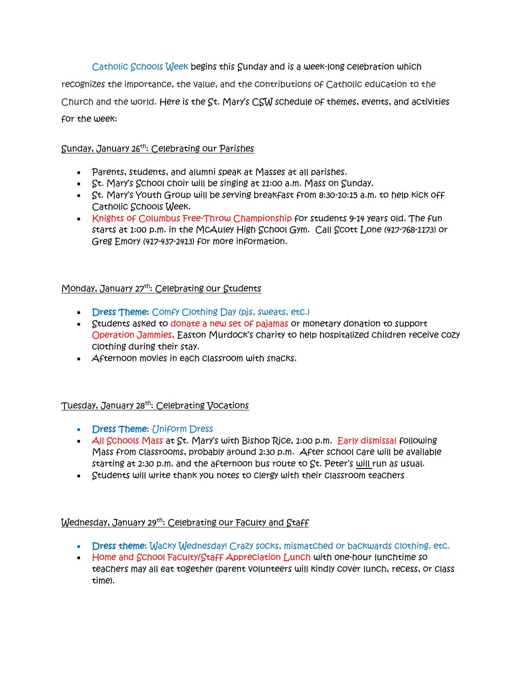Catholic Schools Week begins this Sunday and is a week-long celebration which recognizes the importance, the value, and the contributions of Catholic education to the Church and the world. Here is the St. Mary's CSW schedule of themes, events, and activities for the week:

## Sunday, January 26th: Celebrating our Parishes

- Parents, students, and alumni speak at Masses at all parishes.
- St. Mary's School choir will be singing at 11:00 a.m. Mass on Sunday.
- St. Mary's Youth Group will be serving breakfast from 8:30-10:15 a.m. to help kick off Catholic Schools Week.
- Knights of Columbus Free-Throw Championship for students 9-14 years old. The fun starts at 1:00 p.m. in the McAuley High School Gym. Call Scott Lone (417-768-1173) or Greg Emory (417-437-2413) for more information.

# Monday, January 27<sup>th</sup>: Celebrating our Students

- **Dress Theme:** Comfy Clothing Day (pjs, sweats, etc.)
- Students asked to donate a new set of pajamas or monetary donation to support Operation Jammies, Easton Murdock's charity to help hospitalized children receive cozy clothing during their stay.
- **Afternoon movies in each classroom with snacks.**

## Tuesday, January 28th: Celebrating Vocations

- **Dress Theme: Uniform Dress**
- $\overline{A}$ II Schools Mass at St. Mary's with Bishop Rice, 1:00 p.m. Early dismissal following Mass from classrooms, probably around 2:30 p.m. After school care will be available starting at 2:30 p.m. and the afternoon bus route to St. Peter's will run as usual.
- Students will write thank you notes to clergy with their classroom teachers

## Wednesday, January 29<sup>th</sup>: Celebrating our Faculty and Staff

- Dress theme: Wacky Wednesday! Crazy socks, mismatched or backwards clothing, etc.
- Home and School Faculty/Staff Appreciation Lunch with one-hour lunchtime so teachers may all eat together (parent volunteers will kindly cover lunch, recess, or class time).